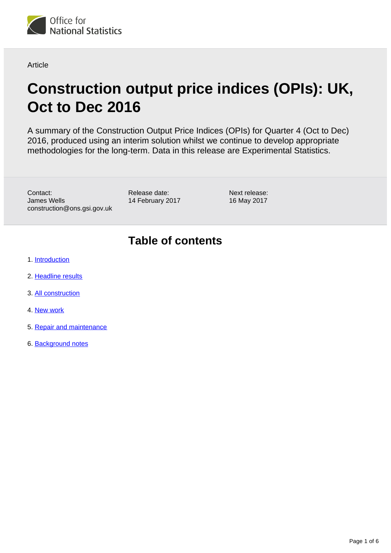

**Article** 

# **Construction output price indices (OPIs): UK, Oct to Dec 2016**

A summary of the Construction Output Price Indices (OPIs) for Quarter 4 (Oct to Dec) 2016, produced using an interim solution whilst we continue to develop appropriate methodologies for the long-term. Data in this release are Experimental Statistics.

Contact: James Wells construction@ons.gsi.gov.uk Release date: 14 February 2017

Next release: 16 May 2017

# **Table of contents**

- 1. [Introduction](#page-1-0)
- 2. [Headline results](#page-1-1)
- 3. [All construction](#page-1-2)
- 4. [New work](#page-3-0)
- 5. [Repair and maintenance](#page-4-0)
- 6. [Background notes](#page-4-1)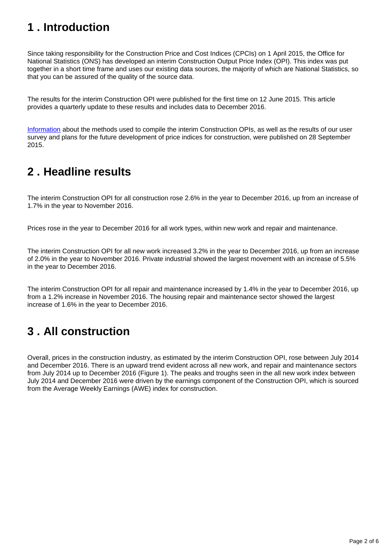# <span id="page-1-0"></span>**1 . Introduction**

Since taking responsibility for the Construction Price and Cost Indices (CPCIs) on 1 April 2015, the Office for National Statistics (ONS) has developed an interim Construction Output Price Index (OPI). This index was put together in a short time frame and uses our existing data sources, the majority of which are National Statistics, so that you can be assured of the quality of the source data.

The results for the interim Construction OPI were published for the first time on 12 June 2015. This article provides a quarterly update to these results and includes data to December 2016.

[Information](http://www.ons.gov.uk/ons/rel/ppi2/construction-output-price-indices--opis-/interim-solution--further-information/index.html) about the methods used to compile the interim Construction OPIs, as well as the results of our user survey and plans for the future development of price indices for construction, were published on 28 September 2015.

# <span id="page-1-1"></span>**2 . Headline results**

The interim Construction OPI for all construction rose 2.6% in the year to December 2016, up from an increase of 1.7% in the year to November 2016.

Prices rose in the year to December 2016 for all work types, within new work and repair and maintenance.

The interim Construction OPI for all new work increased 3.2% in the year to December 2016, up from an increase of 2.0% in the year to November 2016. Private industrial showed the largest movement with an increase of 5.5% in the year to December 2016.

The interim Construction OPI for all repair and maintenance increased by 1.4% in the year to December 2016, up from a 1.2% increase in November 2016. The housing repair and maintenance sector showed the largest increase of 1.6% in the year to December 2016.

# <span id="page-1-2"></span>**3 . All construction**

Overall, prices in the construction industry, as estimated by the interim Construction OPI, rose between July 2014 and December 2016. There is an upward trend evident across all new work, and repair and maintenance sectors from July 2014 up to December 2016 (Figure 1). The peaks and troughs seen in the all new work index between July 2014 and December 2016 were driven by the earnings component of the Construction OPI, which is sourced from the Average Weekly Earnings (AWE) index for construction.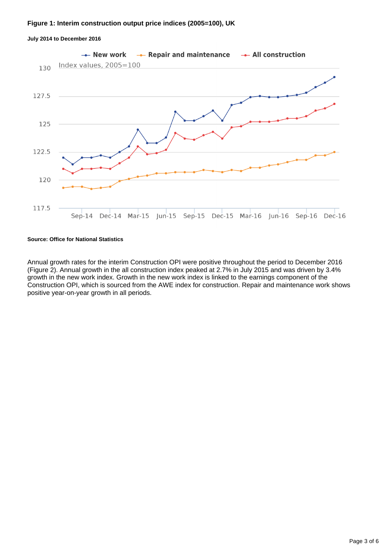#### **Figure 1: Interim construction output price indices (2005=100), UK**



#### **July 2014 to December 2016**

#### **Source: Office for National Statistics**

Annual growth rates for the interim Construction OPI were positive throughout the period to December 2016 (Figure 2). Annual growth in the all construction index peaked at 2.7% in July 2015 and was driven by 3.4% growth in the new work index. Growth in the new work index is linked to the earnings component of the Construction OPI, which is sourced from the AWE index for construction. Repair and maintenance work shows positive year-on-year growth in all periods.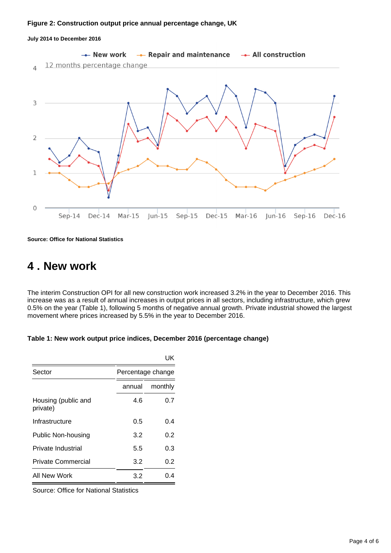#### **Figure 2: Construction output price annual percentage change, UK**

#### **July 2014 to December 2016**



**Source: Office for National Statistics**

## <span id="page-3-0"></span>**4 . New work**

The interim Construction OPI for all new construction work increased 3.2% in the year to December 2016. This increase was as a result of annual increases in output prices in all sectors, including infrastructure, which grew 0.5% on the year (Table 1), following 5 months of negative annual growth. Private industrial showed the largest movement where prices increased by 5.5% in the year to December 2016.

| Table 1: New work output price indices, December 2016 (percentage change) |  |  |
|---------------------------------------------------------------------------|--|--|
|                                                                           |  |  |

|                                 |                   | UK      |  |
|---------------------------------|-------------------|---------|--|
| Sector                          | Percentage change |         |  |
|                                 | annual            | monthly |  |
| Housing (public and<br>private) | 4.6               | 0.7     |  |
| Infrastructure                  | 0.5               | 0.4     |  |
| <b>Public Non-housing</b>       | 3.2               | 0.2     |  |
| Private Industrial              | 5.5               | 0.3     |  |
| Private Commercial              | 3.2               | 0.2     |  |
| All New Work                    | 3.2               | 0.4     |  |

Source: Office for National Statistics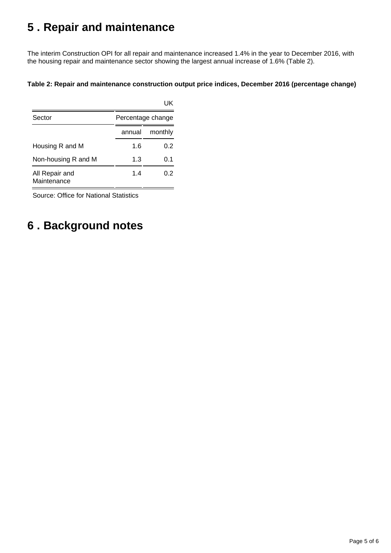# <span id="page-4-0"></span>**5 . Repair and maintenance**

The interim Construction OPI for all repair and maintenance increased 1.4% in the year to December 2016, with the housing repair and maintenance sector showing the largest annual increase of 1.6% (Table 2).

### **Table 2: Repair and maintenance construction output price indices, December 2016 (percentage change)**

| Sector                        |        | Percentage change |  |  |
|-------------------------------|--------|-------------------|--|--|
|                               | annual | monthly           |  |  |
| Housing R and M               | 1.6    | 0.2               |  |  |
| Non-housing R and M           | 1.3    | 0.1               |  |  |
| All Repair and<br>Maintenance | 1.4    | 0.2               |  |  |

Source: Office for National Statistics

# <span id="page-4-1"></span>**6 . Background notes**